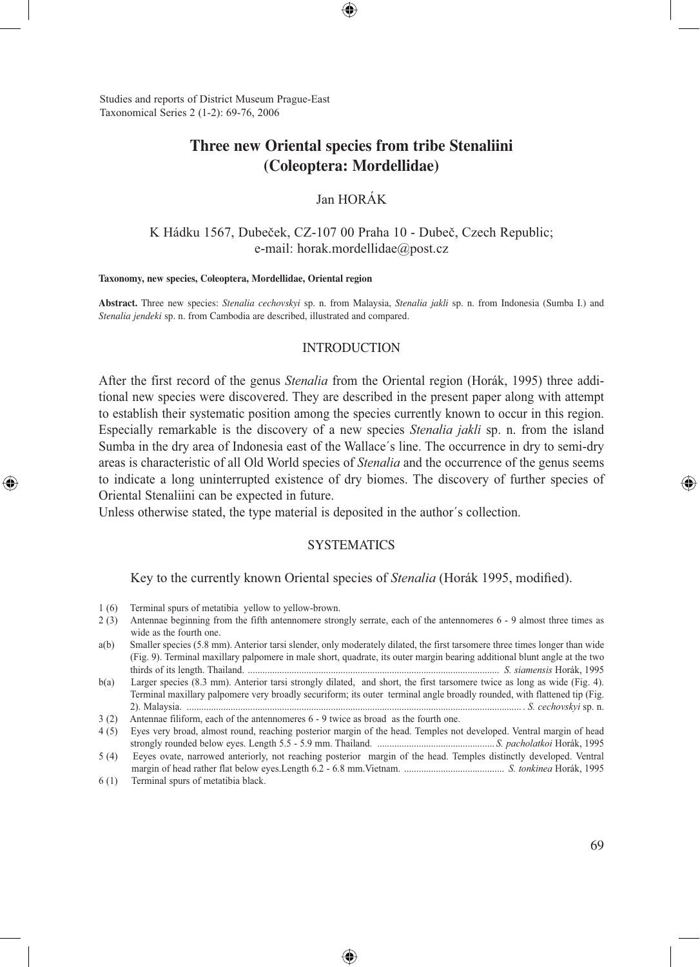Studies and reports of District Museum Prague-East Taxonomical Series 2 (1-2): 69-76, 2006

# **Three new Oriental species from tribe Stenaliini (Coleoptera: Mordellidae)**

# Jan HORÁK

### K Hádku 1567, Dubeček, CZ-107 00 Praha 10 - Dubeč, Czech Republic; e-mail: horak.mordellidae@post.cz

#### **Taxonomy, new species, Coleoptera, Mordellidae, Oriental region**

**Abstract.** Three new species: *Stenalia cechovskyi* sp. n. from Malaysia, *Stenalia jakli* sp. n. from Indonesia (Sumba I.) and *Stenalia jendeki* sp. n. from Cambodia are described, illustrated and compared.

#### INTRODUCTION

After the first record of the genus *Stenalia* from the Oriental region (Horák, 1995) three additional new species were discovered. They are described in the present paper along with attempt to establish their systematic position among the species currently known to occur in this region. Especially remarkable is the discovery of a new species *Stenalia jakli* sp. n. from the island Sumba in the dry area of Indonesia east of the Wallace´s line. The occurrence in dry to semi-dry areas is characteristic of all Old World species of *Stenalia* and the occurrence of the genus seems to indicate a long uninterrupted existence of dry biomes. The discovery of further species of Oriental Stenaliini can be expected in future.

Unless otherwise stated, the type material is deposited in the author´s collection.

#### **SYSTEMATICS**

#### Key to the currently known Oriental species of *Stenalia* (Horák 1995, modified).

⊕

6 (1) Terminal spurs of metatibia black.

⊕

<sup>1 (6)</sup> Terminal spurs of metatibia yellow to yellow-brown.

<sup>2 (3)</sup> Antennae beginning from the fifth antennomere strongly serrate, each of the antennomeres 6 - 9 almost three times as wide as the fourth one.

a(b) Smaller species (5.8 mm). Anterior tarsi slender, only moderately dilated, the first tarsomere three times longer than wide (Fig. 9). Terminal maxillary palpomere in male short, quadrate, its outer margin bearing additional blunt angle at the two thirds of its length. Thailand. ....................................................................................................... *S. siamensis* Horák, 1995

b(a) Larger species (8.3 mm). Anterior tarsi strongly dilated, and short, the first tarsomere twice as long as wide (Fig. 4). Terminal maxillary palpomere very broadly securiform; its outer terminal angle broadly rounded, with flattened tip (Fig. 2). Malaysia. ......................................................................................................................................... . *S. cechovskyi* sp. n.

<sup>3 (2)</sup> Antennae filiform, each of the antennomeres 6 - 9 twice as broad as the fourth one.

<sup>4 (5)</sup> Eyes very broad, almost round, reaching posterior margin of the head. Temples not developed. Ventral margin of head strongly rounded below eyes. Length 5.5 - 5.9 mm. Thailand. ................................................ *S. pacholatkoi* Horák, 1995

<sup>5 (4)</sup> Eeyes ovate, narrowed anteriorly, not reaching posterior margin of the head. Temples distinctly developed. Ventral margin of head rather flat below eyes.Length 6.2 - 6.8 mm.Vietnam. ......................................... *S. tonkinea* Horák, 1995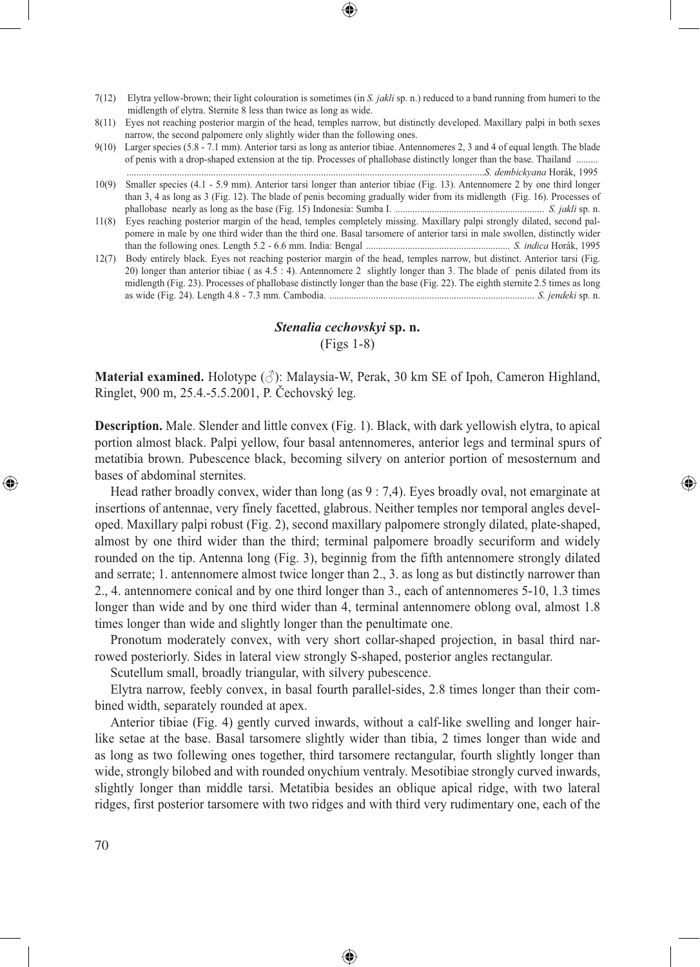- 7(12) Elytra yellow-brown; their light colouration is sometimes (in *S. jakli* sp. n.) reduced to a band running from humeri to the midlength of elytra. Sternite 8 less than twice as long as wide.
- 8(11) Eyes not reaching posterior margin of the head, temples narrow, but distinctly developed. Maxillary palpi in both sexes narrow, the second palpomere only slightly wider than the following ones.
- 9(10) Larger species (5.8 7.1 mm). Anterior tarsi as long as anterior tibiae. Antennomeres 2, 3 and 4 of equal length. The blade of penis with a drop-shaped extension at the tip. Processes of phallobase distinctly longer than the base. Thailand ......... .......... ........................................................................................................................................*S. dembickyana* Horák, 1995
- 10(9) Smaller species (4.1 5.9 mm). Anterior tarsi longer than anterior tibiae (Fig. 13). Antennomere 2 by one third longer than 3, 4 as long as 3 (Fig. 12). The blade of penis becoming gradually wider from its midlength (Fig. 16). Processes of phallobase nearly as long as the base (Fig. 15) Indonesia: Sumba I. ............................................................. *S. jakli* sp. n.
- 11(8) Eyes reaching posterior margin of the head, temples completely missing. Maxillary palpi strongly dilated, second palpomere in male by one third wider than the third one. Basal tarsomere of anterior tarsi in male swollen, distinctly wider than the following ones. Length 5.2 - 6.6 mm. India: Bengal ........................................................... *S. indica* Horák, 1995
- 12(7) Body entirely black. Eyes not reaching posterior margin of the head, temples narrow, but distinct. Anterior tarsi (Fig. 20) longer than anterior tibiae ( as 4.5 : 4). Antennomere 2 slightly longer than 3. The blade of penis dilated from its midlength (Fig. 23). Processes of phallobase distinctly longer than the base (Fig. 22). The eighth sternite 2.5 times as long as wide (Fig. 24). Length 4.8 - 7.3 mm. Cambodia. .................................................................................... *S. jendeki* sp. n.

### *Stenalia cechovskyi* **sp. n.** (Figs 1-8)

**Material examined.** Holotype (♂): Malaysia-W, Perak, 30 km SE of Ipoh, Cameron Highland, Ringlet, 900 m, 25.4.-5.5.2001, P. Čechovský leg.

**Description.** Male. Slender and little convex (Fig. 1). Black, with dark yellowish elytra, to apical portion almost black. Palpi yellow, four basal antennomeres, anterior legs and terminal spurs of metatibia brown. Pubescence black, becoming silvery on anterior portion of mesosternum and bases of abdominal sternites.

⊕

Head rather broadly convex, wider than long (as 9 : 7,4). Eyes broadly oval, not emarginate at insertions of antennae, very finely facetted, glabrous. Neither temples nor temporal angles developed. Maxillary palpi robust (Fig. 2), second maxillary palpomere strongly dilated, plate-shaped, almost by one third wider than the third; terminal palpomere broadly securiform and widely rounded on the tip. Antenna long (Fig. 3), beginnig from the fifth antennomere strongly dilated and serrate; 1. antennomere almost twice longer than 2., 3. as long as but distinctly narrower than 2., 4. antennomere conical and by one third longer than 3., each of antennomeres 5-10, 1.3 times longer than wide and by one third wider than 4, terminal antennomere oblong oval, almost 1.8 times longer than wide and slightly longer than the penultimate one.

Pronotum moderately convex, with very short collar-shaped projection, in basal third narrowed posteriorly. Sides in lateral view strongly S-shaped, posterior angles rectangular.

Scutellum small, broadly triangular, with silvery pubescence.

Elytra narrow, feebly convex, in basal fourth parallel-sides, 2.8 times longer than their combined width, separately rounded at apex.

Anterior tibiae (Fig. 4) gently curved inwards, without a calf-like swelling and longer hairlike setae at the base. Basal tarsomere slightly wider than tibia, 2 times longer than wide and as long as two follewing ones together, third tarsomere rectangular, fourth slightly longer than wide, strongly bilobed and with rounded onychium ventraly. Mesotibiae strongly curved inwards, slightly longer than middle tarsi. Metatibia besides an oblique apical ridge, with two lateral ridges, first posterior tarsomere with two ridges and with third very rudimentary one, each of the

⊕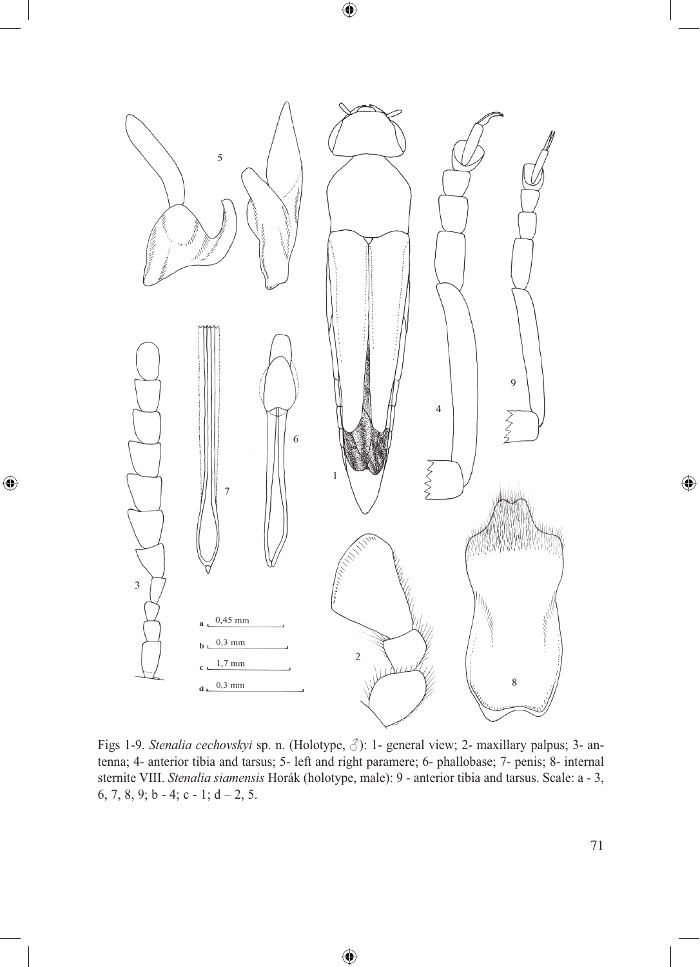

 $\bigoplus$ 

 $\bigoplus$ 

Figs 1-9. *Stenalia cechovskyi* sp. n. (Holotype, ♂): 1- general view; 2- maxillary palpus; 3- antenna; 4- anterior tibia and tarsus; 5- left and right paramere; 6- phallobase; 7- penis; 8- internal sternite VIII. *Stenalia siamensis* Horák (holotype, male): 9 - anterior tibia and tarsus. Scale: a - 3, 6, 7, 8, 9; b - 4; c - 1; d - 2, 5.

♠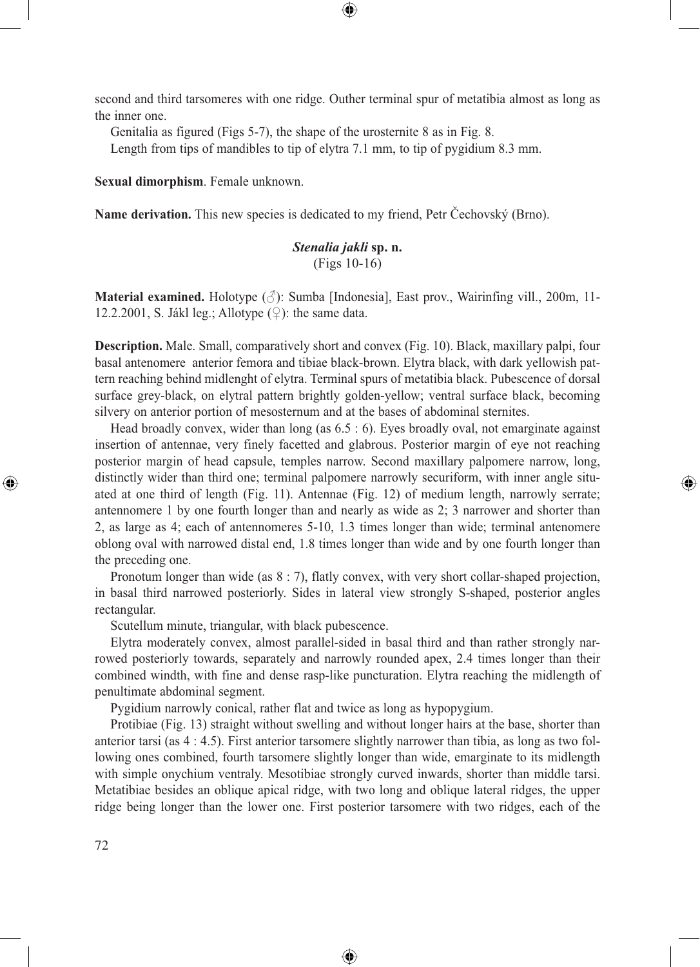second and third tarsomeres with one ridge. Outher terminal spur of metatibia almost as long as the inner one.

⊕

Genitalia as figured (Figs 5-7), the shape of the urosternite 8 as in Fig. 8.

Length from tips of mandibles to tip of elytra 7.1 mm, to tip of pygidium 8.3 mm.

**Sexual dimorphism**. Female unknown.

**Name derivation.** This new species is dedicated to my friend, Petr Čechovský (Brno).

# *Stenalia jakli* **sp. n.** (Figs 10-16)

**Material examined.** Holotype  $(\text{A})$ : Sumba [Indonesia], East prov., Wairinfing vill., 200m, 11-12.2.2001, S. Jákl leg.; Allotype  $(\circled{2})$ : the same data.

**Description.** Male. Small, comparatively short and convex (Fig. 10). Black, maxillary palpi, four basal antenomere anterior femora and tibiae black-brown. Elytra black, with dark yellowish pattern reaching behind midlenght of elytra. Terminal spurs of metatibia black. Pubescence of dorsal surface grey-black, on elytral pattern brightly golden-yellow; ventral surface black, becoming silvery on anterior portion of mesosternum and at the bases of abdominal sternites.

Head broadly convex, wider than long (as 6.5 : 6). Eyes broadly oval, not emarginate against insertion of antennae, very finely facetted and glabrous. Posterior margin of eye not reaching posterior margin of head capsule, temples narrow. Second maxillary palpomere narrow, long, distinctly wider than third one; terminal palpomere narrowly securiform, with inner angle situated at one third of length (Fig. 11). Antennae (Fig. 12) of medium length, narrowly serrate; antennomere 1 by one fourth longer than and nearly as wide as 2; 3 narrower and shorter than 2, as large as 4; each of antennomeres 5-10, 1.3 times longer than wide; terminal antenomere oblong oval with narrowed distal end, 1.8 times longer than wide and by one fourth longer than the preceding one.

⊕

Pronotum longer than wide (as  $8:7$ ), flatly convex, with very short collar-shaped projection, in basal third narrowed posteriorly. Sides in lateral view strongly S-shaped, posterior angles rectangular.

Scutellum minute, triangular, with black pubescence.

Elytra moderately convex, almost parallel-sided in basal third and than rather strongly narrowed posteriorly towards, separately and narrowly rounded apex, 2.4 times longer than their combined windth, with fine and dense rasp-like puncturation. Elytra reaching the midlength of penultimate abdominal segment.

Pygidium narrowly conical, rather flat and twice as long as hypopygium.

Protibiae (Fig. 13) straight without swelling and without longer hairs at the base, shorter than anterior tarsi (as 4 : 4.5). First anterior tarsomere slightly narrower than tibia, as long as two following ones combined, fourth tarsomere slightly longer than wide, emarginate to its midlength with simple onychium ventraly. Mesotibiae strongly curved inwards, shorter than middle tarsi. Metatibiae besides an oblique apical ridge, with two long and oblique lateral ridges, the upper ridge being longer than the lower one. First posterior tarsomere with two ridges, each of the

⊕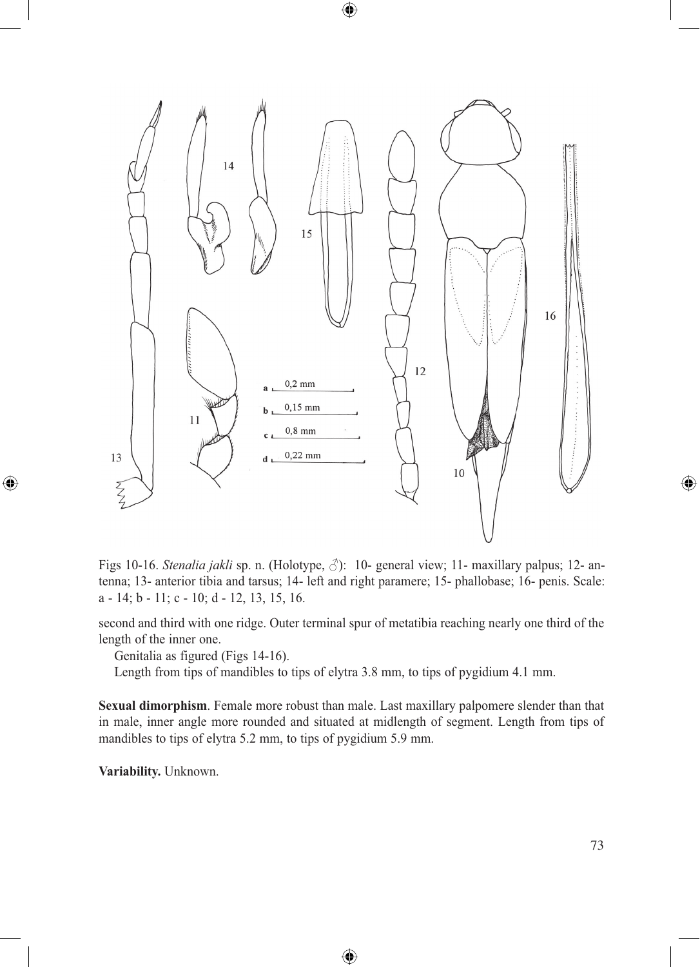

 $\bigoplus$ 

Figs 10-16. *Stenalia jakli* sp. n. (Holotype, ♂): 10- general view; 11- maxillary palpus; 12- antenna; 13- anterior tibia and tarsus; 14- left and right paramere; 15- phallobase; 16- penis. Scale: a - 14; b - 11; c - 10; d - 12, 13, 15, 16.

second and third with one ridge. Outer terminal spur of metatibia reaching nearly one third of the length of the inner one.

Genitalia as figured (Figs 14-16).

Length from tips of mandibles to tips of elytra 3.8 mm, to tips of pygidium 4.1 mm.

**Sexual dimorphism**. Female more robust than male. Last maxillary palpomere slender than that in male, inner angle more rounded and situated at midlength of segment. Length from tips of mandibles to tips of elytra 5.2 mm, to tips of pygidium 5.9 mm.

⊕

**Variability.** Unknown.

 $\bigcirc$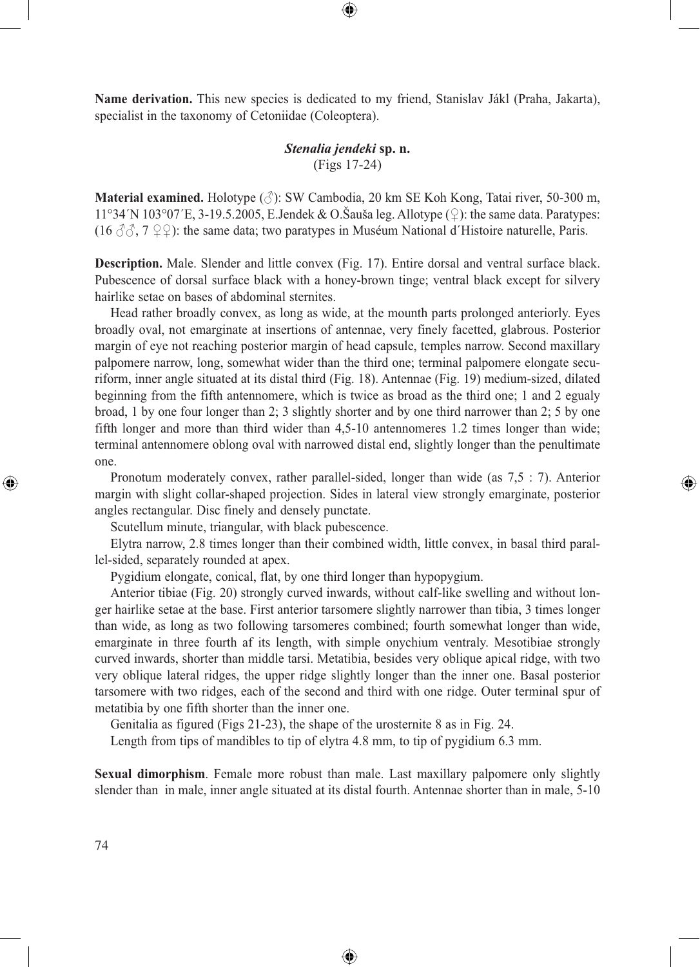**Name derivation.** This new species is dedicated to my friend, Stanislav Jákl (Praha, Jakarta), specialist in the taxonomy of Cetoniidae (Coleoptera).

⊕

# *Stenalia jendeki* **sp. n.** (Figs 17-24)

**Material examined.** Holotype (♂): SW Cambodia, 20 km SE Koh Kong, Tatai river, 50-300 m, 11°34´N 103°07´E, 3-19.5.2005, E.Jendek & O.Šauša leg. Allotype  $(\circled{)}$ : the same data. Paratypes: (16  $\Im \Im$ , 7  $\Im$ ): the same data; two paratypes in Muséum National d'Histoire naturelle, Paris.

**Description.** Male. Slender and little convex (Fig. 17). Entire dorsal and ventral surface black. Pubescence of dorsal surface black with a honey-brown tinge; ventral black except for silvery hairlike setae on bases of abdominal sternites.

Head rather broadly convex, as long as wide, at the mounth parts prolonged anteriorly. Eyes broadly oval, not emarginate at insertions of antennae, very finely facetted, glabrous. Posterior margin of eye not reaching posterior margin of head capsule, temples narrow. Second maxillary palpomere narrow, long, somewhat wider than the third one; terminal palpomere elongate securiform, inner angle situated at its distal third (Fig. 18). Antennae (Fig. 19) medium-sized, dilated beginning from the fifth antennomere, which is twice as broad as the third one; 1 and 2 egualy broad, 1 by one four longer than 2; 3 slightly shorter and by one third narrower than 2; 5 by one fifth longer and more than third wider than 4,5-10 antennomeres 1.2 times longer than wide; terminal antennomere oblong oval with narrowed distal end, slightly longer than the penultimate one.

Pronotum moderately convex, rather parallel-sided, longer than wide (as 7,5 : 7). Anterior margin with slight collar-shaped projection. Sides in lateral view strongly emarginate, posterior angles rectangular. Disc finely and densely punctate.

⊕

Scutellum minute, triangular, with black pubescence.

Elytra narrow, 2.8 times longer than their combined width, little convex, in basal third parallel-sided, separately rounded at apex.

Pygidium elongate, conical, flat, by one third longer than hypopygium.

Anterior tibiae (Fig. 20) strongly curved inwards, without calf-like swelling and without longer hairlike setae at the base. First anterior tarsomere slightly narrower than tibia, 3 times longer than wide, as long as two following tarsomeres combined; fourth somewhat longer than wide, emarginate in three fourth af its length, with simple onychium ventraly. Mesotibiae strongly curved inwards, shorter than middle tarsi. Metatibia, besides very oblique apical ridge, with two very oblique lateral ridges, the upper ridge slightly longer than the inner one. Basal posterior tarsomere with two ridges, each of the second and third with one ridge. Outer terminal spur of metatibia by one fifth shorter than the inner one.

Genitalia as figured (Figs 21-23), the shape of the urosternite 8 as in Fig. 24.

Length from tips of mandibles to tip of elytra 4.8 mm, to tip of pygidium 6.3 mm.

**Sexual dimorphism**. Female more robust than male. Last maxillary palpomere only slightly slender than in male, inner angle situated at its distal fourth. Antennae shorter than in male, 5-10

⊕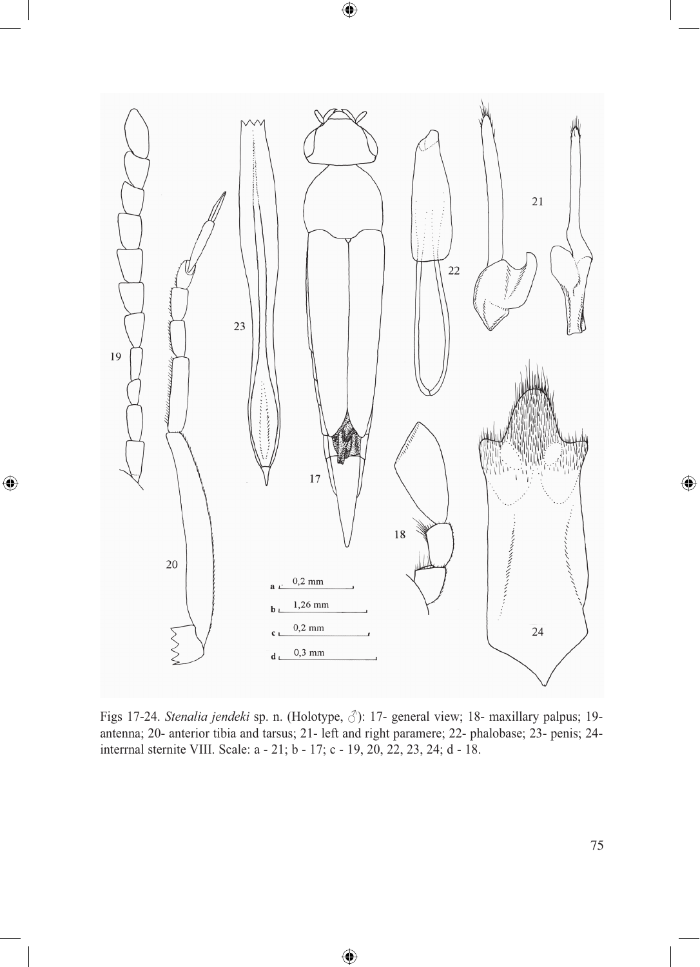

 $\bigoplus$ 

 $\bigoplus$ 

Figs 17-24. *Stenalia jendeki* sp. n. (Holotype, ♂): 17- general view; 18- maxillary palpus; 19 antenna; 20- anterior tibia and tarsus; 21- left and right paramere; 22- phalobase; 23- penis; 24 interrnal sternite VIII. Scale: a - 21; b - 17; c - 19, 20, 22, 23, 24; d - 18.

◈